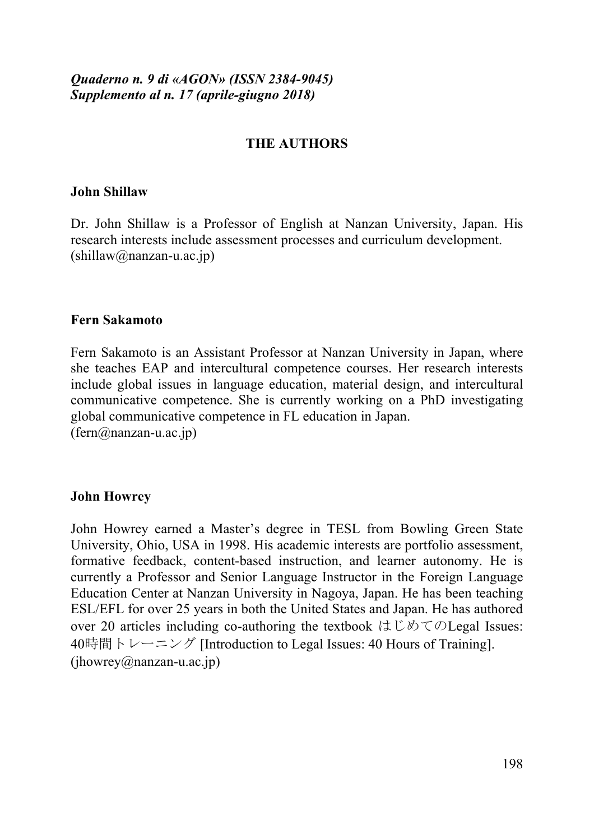## *Quaderno n. 9 di «AGON» (ISSN 2384-9045) Supplemento al n. 17 (aprile-giugno 2018)*

## **THE AUTHORS**

#### **John Shillaw**

Dr. John Shillaw is a Professor of English at Nanzan University, Japan. His research interests include assessment processes and curriculum development.  $(\text{shillaw}(a)$ nanzan-u.ac.jp)

#### **Fern Sakamoto**

Fern Sakamoto is an Assistant Professor at Nanzan University in Japan, where she teaches EAP and intercultural competence courses. Her research interests include global issues in language education, material design, and intercultural communicative competence. She is currently working on a PhD investigating global communicative competence in FL education in Japan.  $(fern@nanzan-u.ac.jp)$ 

### **John Howrey**

John Howrey earned a Master's degree in TESL from Bowling Green State University, Ohio, USA in 1998. His academic interests are portfolio assessment, formative feedback, content-based instruction, and learner autonomy. He is currently a Professor and Senior Language Instructor in the Foreign Language Education Center at Nanzan University in Nagoya, Japan. He has been teaching ESL/EFL for over 25 years in both the United States and Japan. He has authored over 20 articles including co-authoring the textbook  $\forall \forall \forall \forall \forall \forall$  Legal Issues: 40時間トレーニング [Introduction to Legal Issues: 40 Hours of Training].  $(ihowrey@nanzan-u.ac.jp)$